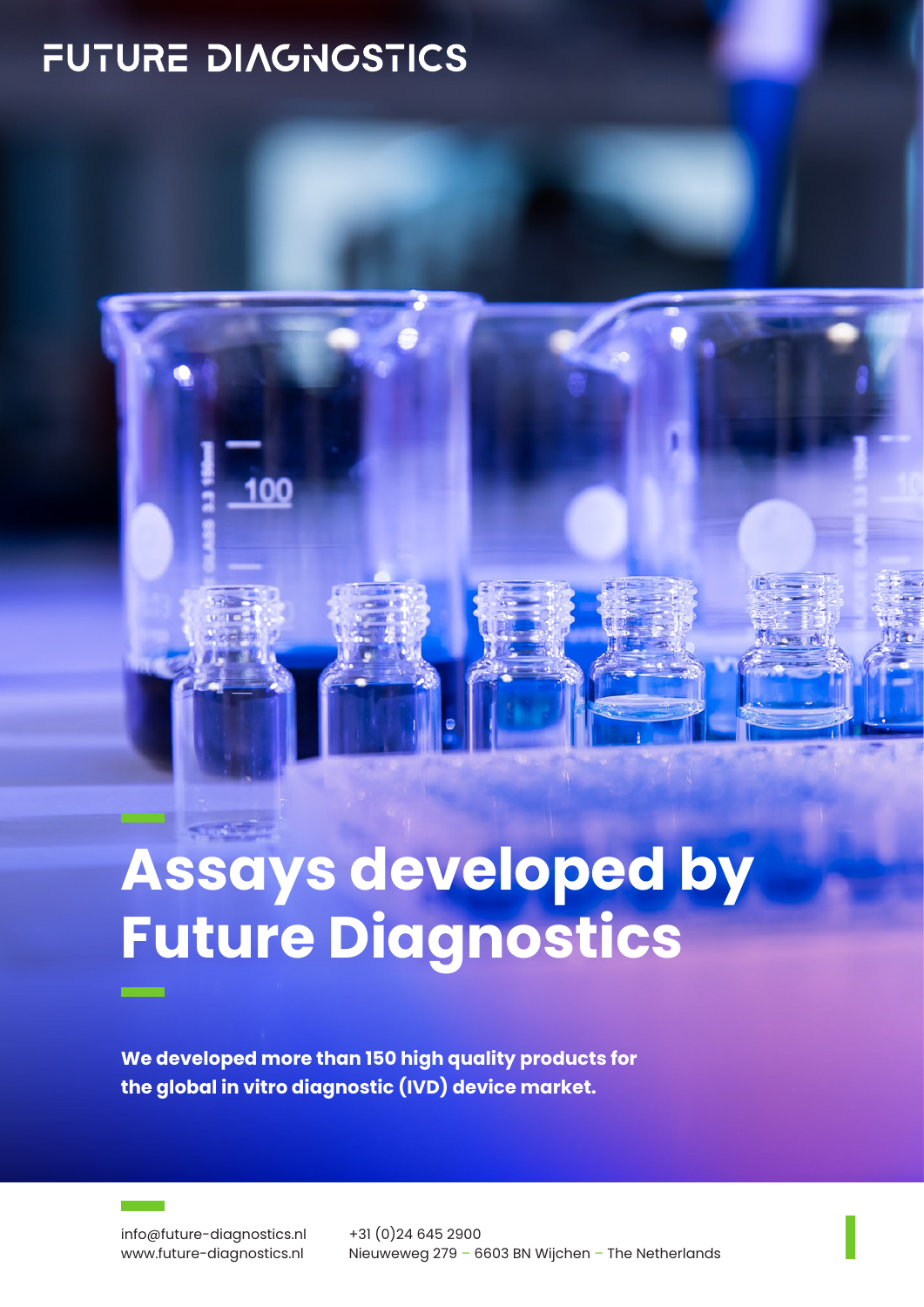## FUTURE DIAGNOSTICS



## **Assays developed by Future Diagnostics**

**We developed more than 150 high quality products for the global in vitro diagnostic (IVD) device market.**

info@future-diagnostics.nl www.future-diagnostics.nl

ست ا

+31 (0)24 645 2900 Nieuweweg 279 – 6603 BN Wijchen – The Netherlands